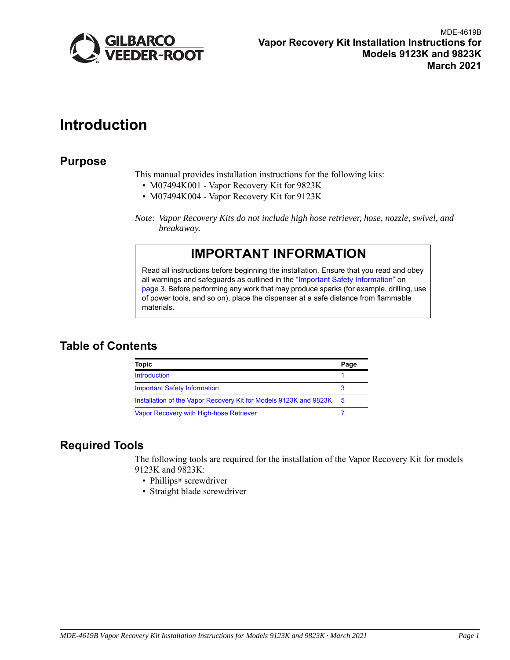

# <span id="page-0-0"></span>**Introduction**

## **Purpose**

This manual provides installation instructions for the following kits:

- M07494K001 Vapor Recovery Kit for 9823K
- M07494K004 Vapor Recovery Kit for 9123K
- *Note: Vapor Recovery Kits do not include high hose retriever, hose, nozzle, swivel, and breakaway.*

# **IMPORTANT INFORMATION**

Read all instructions before beginning the installation. Ensure that you read and obey all warnings and safeguards as outlined in the ["Important Safety Information"](#page-2-0) on [page 3.](#page-2-0) Before performing any work that may produce sparks (for example, drilling, use of power tools, and so on), place the dispenser at a safe distance from flammable materials.

# **Table of Contents**

| <b>Topic</b>                                                      | Page |
|-------------------------------------------------------------------|------|
| <b>Introduction</b>                                               |      |
| <b>Important Safety Information</b>                               |      |
| Installation of the Vapor Recovery Kit for Models 9123K and 9823K | - 5  |
| Vapor Recovery with High-hose Retriever                           |      |

# **Required Tools**

The following tools are required for the installation of the Vapor Recovery Kit for models 9123K and 9823K:

- Phillips<sup>®</sup> screwdriver
- Straight blade screwdriver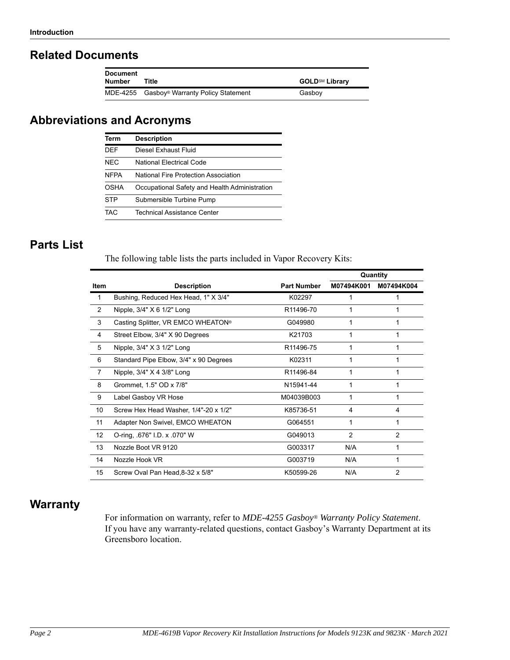## **Related Documents**

| <b>Document</b> |                                                        |                            |
|-----------------|--------------------------------------------------------|----------------------------|
| <b>Number</b>   | Title                                                  | GOLD <sup>sM</sup> Librarv |
|                 | MDE-4255 Gasboy <sup>®</sup> Warranty Policy Statement | Gasbov                     |

# **Abbreviations and Acronyms**

| Term        | <b>Description</b>                            |
|-------------|-----------------------------------------------|
| DEE         | Diesel Exhaust Fluid                          |
| NFC.        | National Flectrical Code                      |
| <b>NFPA</b> | National Fire Protection Association          |
| OSHA        | Occupational Safety and Health Administration |
| <b>STP</b>  | Submersible Turbine Pump                      |
| TAC.        | <b>Technical Assistance Center</b>            |

## <span id="page-1-0"></span>**Parts List**

The following table lists the parts included in Vapor Recovery Kits:

|      |                                                |                    | Quantity       |                |
|------|------------------------------------------------|--------------------|----------------|----------------|
| Item | <b>Description</b>                             | <b>Part Number</b> | M07494K001     | M07494K004     |
|      | Bushing, Reduced Hex Head, 1" X 3/4"           | K02297             |                |                |
| 2    | Nipple, $3/4$ " $X$ 6 $1/2$ " Long             | R11496-70          | 1              |                |
| 3    | Casting Splitter, VR EMCO WHEATON <sup>®</sup> | G049980            | 1              |                |
| 4    | Street Elbow, 3/4" X 90 Degrees                | K21703             | 1              |                |
| 5    | Nipple, $3/4$ " $X$ 3 $1/2$ " Long             | R11496-75          | 1              |                |
| 6    | Standard Pipe Elbow, 3/4" x 90 Degrees         | K02311             | 1              |                |
| 7    | Nipple, $3/4$ " $X$ 4 $3/8$ " Long             | R11496-84          | 1              |                |
| 8    | Grommet, 1.5" OD x 7/8"                        | N15941-44          | 1              |                |
| 9    | Label Gasboy VR Hose                           | M04039B003         |                |                |
| 10   | Screw Hex Head Washer, 1/4"-20 x 1/2"          | K85736-51          | 4              | 4              |
| 11   | Adapter Non Swivel, EMCO WHEATON               | G064551            | 1              |                |
| 12   | O-ring, .676" I.D. x .070" W                   | G049013            | $\mathfrak{p}$ | $\mathfrak{p}$ |
| 13   | Nozzle Boot VR 9120                            | G003317            | N/A            |                |
| 14   | Nozzle Hook VR                                 | G003719            | N/A            |                |
| 15   | Screw Oval Pan Head, 8-32 x 5/8"               | K50599-26          | N/A            | 2              |

# **Warranty**

For information on warranty, refer to *MDE-4255 Gasboy® Warranty Policy Statement*. If you have any warranty-related questions, contact Gasboy's Warranty Department at its Greensboro location.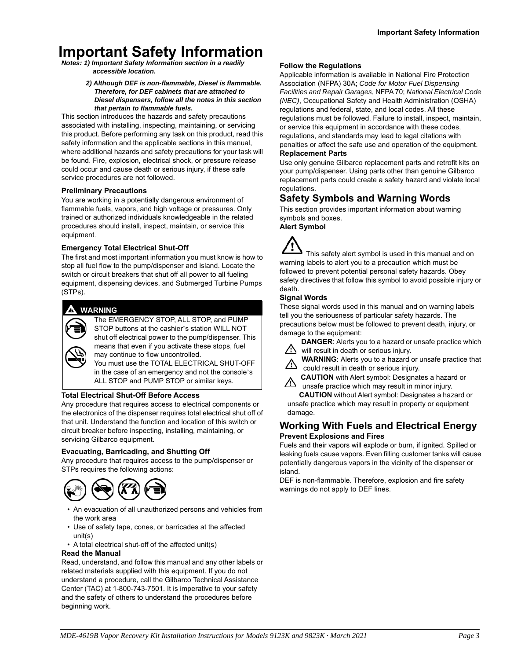# <span id="page-2-0"></span>**Important Safety Information**

*Notes: 1) Important Safety Information section in a readily accessible location.*

#### *2) Although DEF is non-flammable, Diesel is flammable. Therefore, for DEF cabinets that are attached to Diesel dispensers, follow all the notes in this section that pertain to flammable fuels.*

This section introduces the hazards and safety precautions associated with installing, inspecting, maintaining, or servicing this product. Before performing any task on this product, read this safety information and the applicable sections in this manual, where additional hazards and safety precautions for your task will be found. Fire, explosion, electrical shock, or pressure release could occur and cause death or serious injury, if these safe service procedures are not followed.

#### **Preliminary Precautions**

You are working in a potentially dangerous environment of flammable fuels, vapors, and high voltage or pressures. Only trained or authorized individuals knowledgeable in the related procedures should install, inspect, maintain, or service this equipment.

### **Emergency Total Electrical Shut-Off**

The first and most important information you must know is how to stop all fuel flow to the pump/dispenser and island. Locate the switch or circuit breakers that shut off all power to all fueling equipment, dispensing devices, and Submerged Turbine Pumps (STPs).

## **! ! WARNING**



The EMERGENCY STOP, ALL STOP, and PUMP STOP buttons at the cashier's station WILL NOT shut off electrical power to the pump/dispenser. This means that even if you activate these stops, fuel may continue to flow uncontrolled.

You must use the TOTAL ELECTRICAL SHUT-OFF in the case of an emergency and not the console's ALL STOP and PUMP STOP or similar keys.

### **Total Electrical Shut-Off Before Access**

Any procedure that requires access to electrical components or the electronics of the dispenser requires total electrical shut off of that unit. Understand the function and location of this switch or circuit breaker before inspecting, installing, maintaining, or servicing Gilbarco equipment.

#### **Evacuating, Barricading, and Shutting Off**

Any procedure that requires access to the pump/dispenser or STPs requires the following actions:



- An evacuation of all unauthorized persons and vehicles from the work area
- Use of safety tape, cones, or barricades at the affected unit(s)
- A total electrical shut-off of the affected unit(s)

#### **Read the Manual**

Read, understand, and follow this manual and any other labels or related materials supplied with this equipment. If you do not understand a procedure, call the Gilbarco Technical Assistance Center (TAC) at 1-800-743-7501. It is imperative to your safety and the safety of others to understand the procedures before beginning work.

#### **Follow the Regulations**

Applicable information is available in National Fire Protection Association (NFPA) 30A; *Code for Motor Fuel Dispensing Facilities and Repair Garages*, NFPA 70; *National Electrical Code (NEC)*, Occupational Safety and Health Administration (OSHA) regulations and federal, state, and local codes. All these regulations must be followed. Failure to install, inspect, maintain, or service this equipment in accordance with these codes, regulations, and standards may lead to legal citations with penalties or affect the safe use and operation of the equipment.

### **Replacement Parts**

Use only genuine Gilbarco replacement parts and retrofit kits on your pump/dispenser. Using parts other than genuine Gilbarco replacement parts could create a safety hazard and violate local regulations.

## **Safety Symbols and Warning Words**

This section provides important information about warning symbols and boxes.

**Alert Symbol** 



#### **Signal Words**

These signal words used in this manual and on warning labels tell you the seriousness of particular safety hazards. The precautions below must be followed to prevent death, injury, or damage to the equipment:



**DANGER**: Alerts you to a hazard or unsafe practice which  $\sqrt{!}$  will result in death or serious injury.



**WARNING**: Alerts you to a hazard or unsafe practice that could result in death or serious injury.

**CAUTION** with Alert symbol: Designates a hazard or **EXECTE:** WHERE WHICH MAY result in minor injury.

 **CAUTION** without Alert symbol: Designates a hazard or unsafe practice which may result in property or equipment damage.

## **Working With Fuels and Electrical Energy Prevent Explosions and Fires**

Fuels and their vapors will explode or burn, if ignited. Spilled or leaking fuels cause vapors. Even filling customer tanks will cause potentially dangerous vapors in the vicinity of the dispenser or island.

DEF is non-flammable. Therefore, explosion and fire safety warnings do not apply to DEF lines.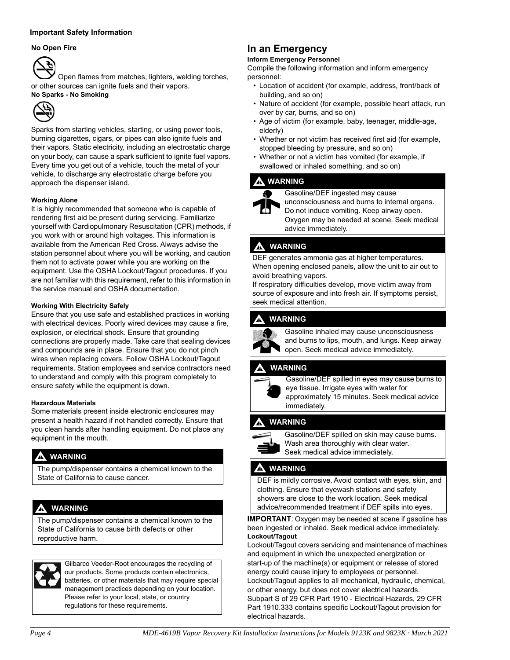#### **No Open Fire**

Open flames from matches, lighters, welding torches, or other sources can ignite fuels and their vapors. **No Sparks - No Smoking**



Sparks from starting vehicles, starting, or using power tools, burning cigarettes, cigars, or pipes can also ignite fuels and their vapors. Static electricity, including an electrostatic charge on your body, can cause a spark sufficient to ignite fuel vapors. Every time you get out of a vehicle, touch the metal of your vehicle, to discharge any electrostatic charge before you approach the dispenser island.

#### **Working Alone**

It is highly recommended that someone who is capable of rendering first aid be present during servicing. Familiarize yourself with Cardiopulmonary Resuscitation (CPR) methods, if you work with or around high voltages. This information is available from the American Red Cross. Always advise the station personnel about where you will be working, and caution them not to activate power while you are working on the equipment. Use the OSHA Lockout/Tagout procedures. If you are not familiar with this requirement, refer to this information in the service manual and OSHA documentation.

#### **Working With Electricity Safely**

Ensure that you use safe and established practices in working with electrical devices. Poorly wired devices may cause a fire, explosion, or electrical shock. Ensure that grounding connections are properly made. Take care that sealing devices and compounds are in place. Ensure that you do not pinch wires when replacing covers. Follow OSHA Lockout/Tagout requirements. Station employees and service contractors need to understand and comply with this program completely to ensure safety while the equipment is down.

#### **Hazardous Materials**

Some materials present inside electronic enclosures may present a health hazard if not handled correctly. Ensure that you clean hands after handling equipment. Do not place any equipment in the mouth.

### **! WARNING**

The pump/dispenser contains a chemical known to the State of California to cause cancer.

### **! WARNING**

The pump/dispenser contains a chemical known to the State of California to cause birth defects or other reproductive harm.



Gilbarco Veeder-Root encourages the recycling of our products. Some products contain electronics, batteries, or other materials that may require special management practices depending on your location. Please refer to your local, state, or country regulations for these requirements.

## **In an Emergency**

#### **Inform Emergency Personnel**

Compile the following information and inform emergency personnel:

- Location of accident (for example, address, front/back of building, and so on)
- Nature of accident (for example, possible heart attack, run over by car, burns, and so on)
- Age of victim (for example, baby, teenager, middle-age, elderly)
- Whether or not victim has received first aid (for example, stopped bleeding by pressure, and so on)
- Whether or not a victim has vomited (for example, if swallowed or inhaled something, and so on)

#### **! WARNING**



Gasoline/DEF ingested may cause

unconsciousness and burns to internal organs. Do not induce vomiting. Keep airway open.

Oxygen may be needed at scene. Seek medical advice immediately.

### **! WARNING**

DEF generates ammonia gas at higher temperatures. When opening enclosed panels, allow the unit to air out to avoid breathing vapors.

If respiratory difficulties develop, move victim away from source of exposure and into fresh air. If symptoms persist, seek medical attention.

### **! WARNING**



Gasoline inhaled may cause unconsciousness and burns to lips, mouth, and lungs. Keep airway open. Seek medical advice immediately.

### **! WARNING**



Gasoline/DEF spilled in eyes may cause burns to eye tissue. Irrigate eyes with water for approximately 15 minutes. Seek medical advice immediately.

### **! WARNING**



Gasoline/DEF spilled on skin may cause burns. Wash area thoroughly with clear water. Seek medical advice immediately.

### **! WARNING**

DEF is mildly corrosive. Avoid contact with eyes, skin, and clothing. Ensure that eyewash stations and safety showers are close to the work location. Seek medical advice/recommended treatment if DEF spills into eyes.

**IMPORTANT**: Oxygen may be needed at scene if gasoline has been ingested or inhaled. Seek medical advice immediately. **Lockout/Tagout**

Lockout/Tagout covers servicing and maintenance of machines and equipment in which the unexpected energization or start-up of the machine(s) or equipment or release of stored energy could cause injury to employees or personnel. Lockout/Tagout applies to all mechanical, hydraulic, chemical, or other energy, but does not cover electrical hazards. Subpart S of 29 CFR Part 1910 - Electrical Hazards, 29 CFR Part 1910.333 contains specific Lockout/Tagout provision for electrical hazards.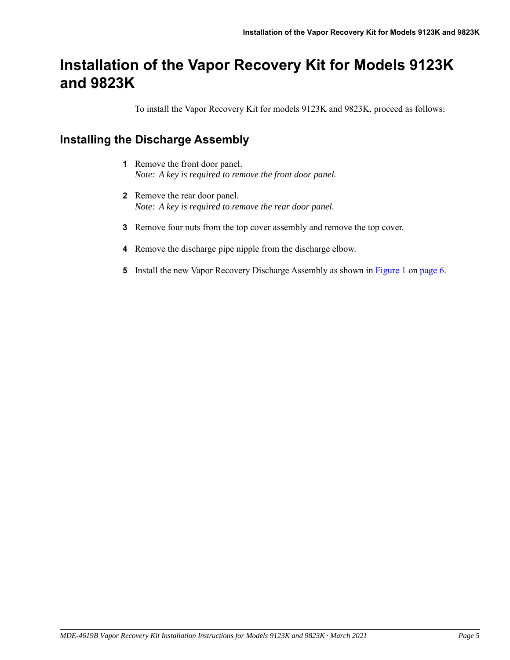# <span id="page-4-0"></span>**Installation of the Vapor Recovery Kit for Models 9123K and 9823K**

To install the Vapor Recovery Kit for models 9123K and 9823K, proceed as follows:

# <span id="page-4-3"></span><span id="page-4-2"></span>**Installing the Discharge Assembly**

- **1** Remove the front door panel. *Note: A key is required to remove the front door panel.*
- **2** Remove the rear door panel. *Note: A key is required to remove the rear door panel.*
- <span id="page-4-1"></span>**3** Remove four nuts from the top cover assembly and remove the top cover.
- **4** Remove the discharge pipe nipple from the discharge elbow.
- **5** Install the new Vapor Recovery Discharge Assembly as shown in [Figure 1](#page-5-0) on [page 6](#page-5-0).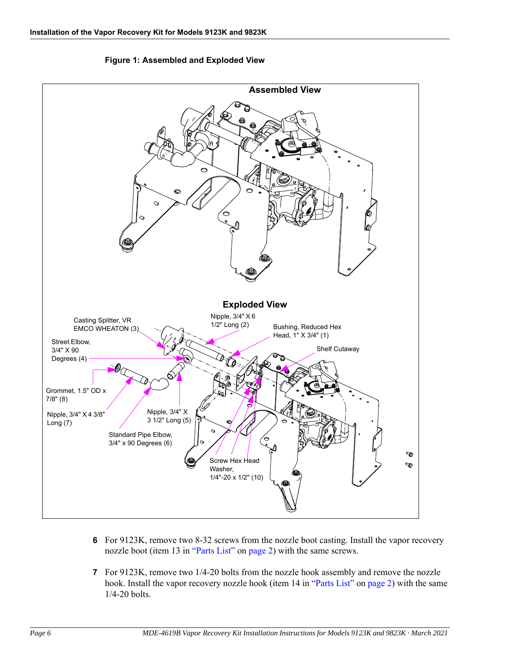<span id="page-5-0"></span>

## **Figure 1: Assembled and Exploded View**

- **6** For 9123K, remove two 8-32 screws from the nozzle boot casting. Install the vapor recovery nozzle boot (item 13 in ["Parts List"](#page-1-0) on [page 2\)](#page-1-0) with the same screws.
- **7** For 9123K, remove two 1/4-20 bolts from the nozzle hook assembly and remove the nozzle hook. Install the vapor recovery nozzle hook (item 14 in ["Parts List"](#page-1-0) on [page 2\)](#page-1-0) with the same 1/4-20 bolts.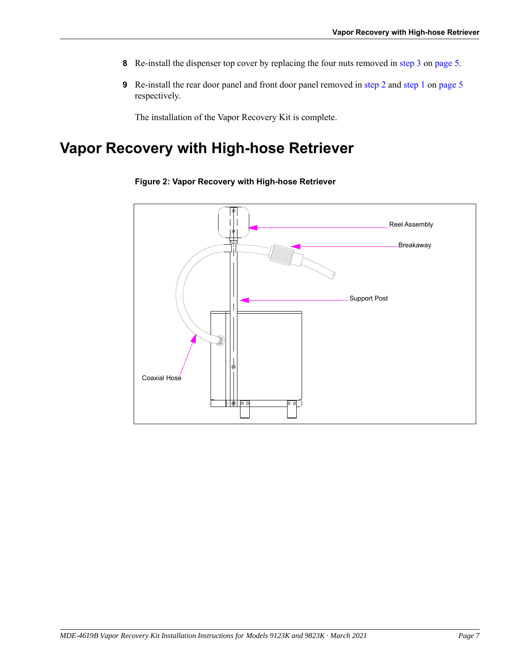- **8** Re-install the dispenser top cover by replacing the four nuts removed in [step](#page-4-1) 3 on [page 5](#page-4-1).
- **9** Re-install the rear door panel and front door panel removed in [step](#page-4-3) 2 and step 1 on [page 5](#page-4-2) respectively.

The installation of the Vapor Recovery Kit is complete.

# <span id="page-6-0"></span>**Vapor Recovery with High-hose Retriever**

**Figure 2: Vapor Recovery with High-hose Retriever**